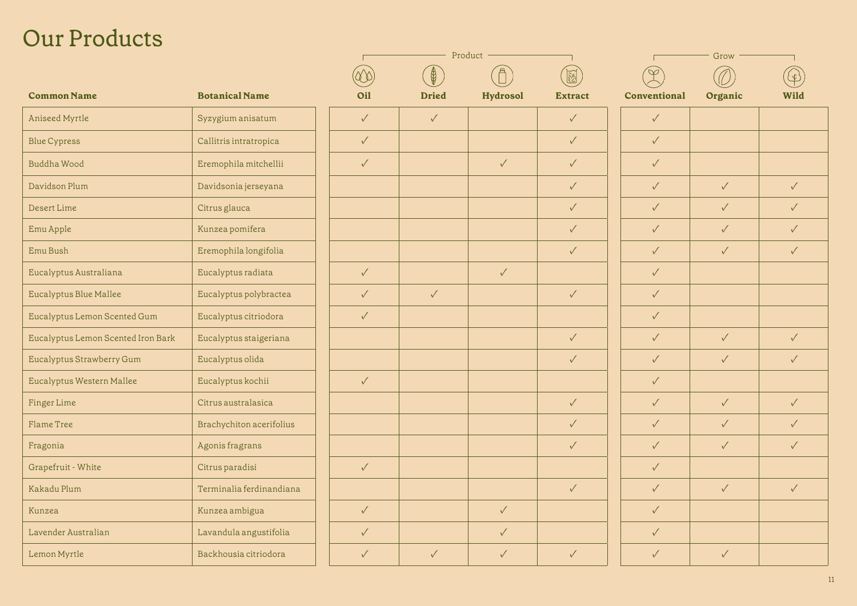## Our Products

|                                    |                          | Product      |              |                 |                | Grow         |              |              |
|------------------------------------|--------------------------|--------------|--------------|-----------------|----------------|--------------|--------------|--------------|
|                                    |                          |              | $\bigcirc$   |                 |                |              |              |              |
| <b>Common Name</b>                 | <b>Botanical Name</b>    | Oil          | <b>Dried</b> | <b>Hydrosol</b> | <b>Extract</b> | Conventional | Organic      | Wild         |
| Aniseed Myrtle                     | Syzygium anisatum        | $\checkmark$ | $\checkmark$ |                 | $\checkmark$   | $\checkmark$ |              |              |
| <b>Blue Cypress</b>                | Callitris intratropica   | $\checkmark$ |              |                 | $\sqrt{2}$     | $\checkmark$ |              |              |
| <b>Buddha Wood</b>                 | Eremophila mitchellii    | $\checkmark$ |              | $\checkmark$    | $\checkmark$   | $\checkmark$ |              |              |
| Davidson Plum                      | Davidsonia jerseyana     |              |              |                 | $\checkmark$   | $\checkmark$ | $\checkmark$ | $\checkmark$ |
| Desert Lime                        | Citrus glauca            |              |              |                 | $\sqrt{2}$     | $\checkmark$ | $\sqrt{2}$   | $\checkmark$ |
| Emu Apple                          | Kunzea pomifera          |              |              |                 | $\checkmark$   | $\checkmark$ | $\checkmark$ | $\checkmark$ |
| Emu Bush                           | Eremophila longifolia    |              |              |                 | $\checkmark$   | $\checkmark$ | $\checkmark$ | $\checkmark$ |
| Eucalyptus Australiana             | Eucalyptus radiata       | $\sqrt{2}$   |              | $\checkmark$    |                | $\checkmark$ |              |              |
| Eucalyptus Blue Mallee             | Eucalyptus polybractea   | $\checkmark$ | $\checkmark$ |                 | $\checkmark$   | $\checkmark$ |              |              |
| Eucalyptus Lemon Scented Gum       | Eucalyptus citriodora    | $\checkmark$ |              |                 |                | $\checkmark$ |              |              |
| Eucalyptus Lemon Scented Iron Bark | Eucalyptus staigeriana   |              |              |                 | $\checkmark$   | $\checkmark$ | $\checkmark$ | $\checkmark$ |
| Eucalyptus Strawberry Gum          | Eucalyptus olida         |              |              |                 | $\checkmark$   | $\checkmark$ | $\checkmark$ | $\checkmark$ |
| Eucalyptus Western Mallee          | Eucalyptus kochii        | $\checkmark$ |              |                 |                | $\checkmark$ |              |              |
| Finger Lime                        | Citrus australasica      |              |              |                 | $\checkmark$   | $\checkmark$ | $\checkmark$ | $\checkmark$ |
| Flame Tree                         | Brachychiton acerifolius |              |              |                 | $\checkmark$   | $\checkmark$ | $\checkmark$ | $\checkmark$ |
| Fragonia                           | Agonis fragrans          |              |              |                 | $\checkmark$   | $\checkmark$ | $\checkmark$ | $\checkmark$ |
| Grapefruit - White                 | Citrus paradisi          | $\checkmark$ |              |                 |                | $\checkmark$ |              |              |
| Kakadu Plum                        | Terminalia ferdinandiana |              |              |                 | $\sqrt{}$      | $\checkmark$ | $\checkmark$ | $\checkmark$ |
| Kunzea                             | Kunzea ambigua           | $\checkmark$ |              | $\checkmark$    |                | $\checkmark$ |              |              |
| Lavender Australian                | Lavandula angustifolia   | $\checkmark$ |              | $\checkmark$    |                | $\checkmark$ |              |              |
| Lemon Myrtle                       | Backhousia citriodora    | $\checkmark$ | $\checkmark$ | $\checkmark$    | $\checkmark$   | $\checkmark$ | $\checkmark$ |              |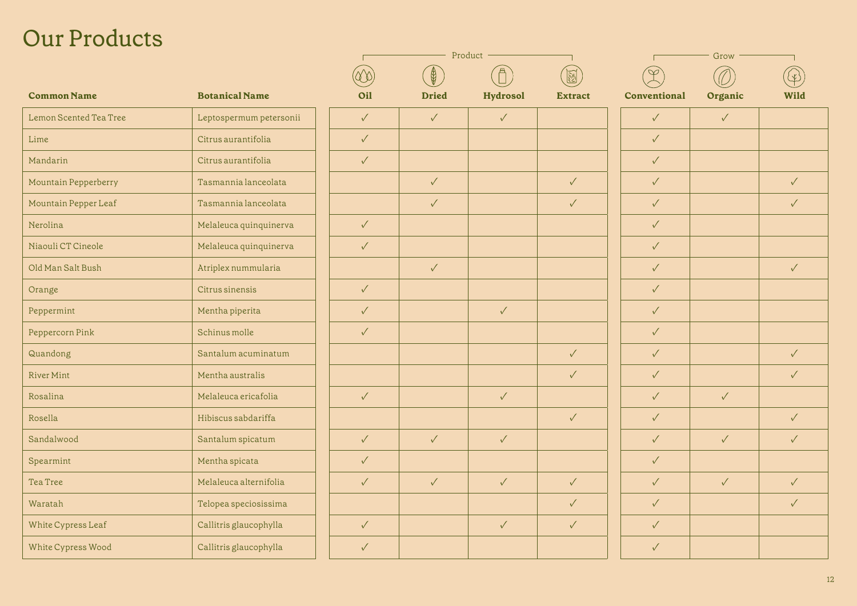## Our Products

|                         | Product      |              |              |                | Grow         |              |              |  |
|-------------------------|--------------|--------------|--------------|----------------|--------------|--------------|--------------|--|
|                         |              | $\bigcirc$   |              | N              |              |              |              |  |
| <b>Botanical Name</b>   | <b>Oil</b>   | <b>Dried</b> | Hydrosol     | <b>Extract</b> | Conventional | Organic      | <b>Wild</b>  |  |
| Leptospermum petersonii | $\sqrt{}$    | $\checkmark$ | $\checkmark$ |                | $\checkmark$ | $\checkmark$ |              |  |
| Citrus aurantifolia     | $\checkmark$ |              |              |                | $\checkmark$ |              |              |  |
| Citrus aurantifolia     | $\checkmark$ |              |              |                | $\checkmark$ |              |              |  |
| Tasmannia lanceolata    |              | $\checkmark$ |              | $\sqrt{2}$     | $\checkmark$ |              | $\checkmark$ |  |
| Tasmannia lanceolata    |              | $\checkmark$ |              | $\checkmark$   | $\checkmark$ |              | $\checkmark$ |  |
| Melaleuca quinquinerva  | $\sqrt{}$    |              |              |                | $\sqrt{}$    |              |              |  |
| Melaleuca quinquinerva  | $\checkmark$ |              |              |                | $\checkmark$ |              |              |  |
| Atriplex nummularia     |              | $\checkmark$ |              |                | $\checkmark$ |              | $\checkmark$ |  |
| Citrus sinensis         | $\checkmark$ |              |              |                | $\checkmark$ |              |              |  |
| Mentha piperita         | $\checkmark$ |              | $\checkmark$ |                | $\checkmark$ |              |              |  |
| Schinus molle           | $\sqrt{}$    |              |              |                | $\checkmark$ |              |              |  |
| Santalum acuminatum     |              |              |              | $\sqrt{2}$     | $\checkmark$ |              | $\checkmark$ |  |
| Mentha australis        |              |              |              | $\checkmark$   | $\checkmark$ |              | $\sqrt{}$    |  |
| Melaleuca ericafolia    | $\checkmark$ |              | $\checkmark$ |                | $\checkmark$ | $\checkmark$ |              |  |
| Hibiscus sabdariffa     |              |              |              | $\checkmark$   | $\checkmark$ |              | $\checkmark$ |  |
| Santalum spicatum       | $\checkmark$ | $\checkmark$ | $\checkmark$ |                | $\checkmark$ | $\checkmark$ | $\checkmark$ |  |
| Mentha spicata          | $\checkmark$ |              |              |                | $\checkmark$ |              |              |  |
| Melaleuca alternifolia  | $\sqrt{}$    | $\checkmark$ | $\checkmark$ | $\checkmark$   | $\checkmark$ | $\checkmark$ | $\checkmark$ |  |
| Telopea speciosissima   |              |              |              | $\checkmark$   | $\checkmark$ |              | $\checkmark$ |  |
| Callitris glaucophylla  | $\checkmark$ |              | $\checkmark$ | $\sqrt{2}$     | $\checkmark$ |              |              |  |
| Callitris glaucophylla  | $\checkmark$ |              |              |                | $\checkmark$ |              |              |  |
|                         |              |              |              |                |              |              |              |  |